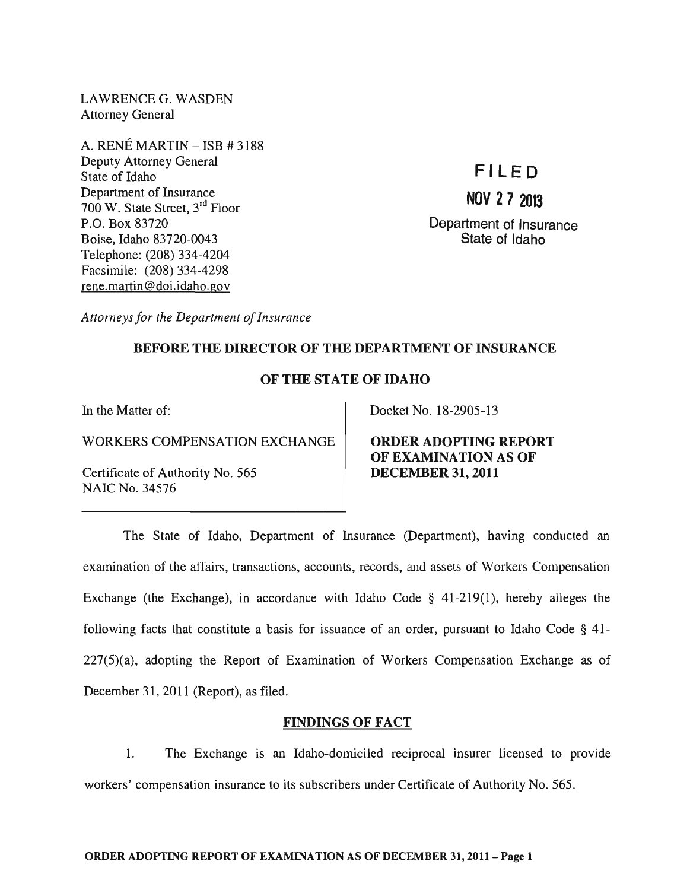LAWRENCE G. WASDEN Attorney General

A. RENÉ MARTIN  $-$  ISB  $\#$  3188 Deputy Attorney General State of Idaho Department of Insurance 700 W. State Street, 3rd Floor P.O. Box 83720 Boise, Idaho 83720-0043 Telephone: (208) 334-4204 Facsimile: (208) 334-4298 rene. martin @doi.idaho.gov

# **FILE 0**

# **NOV 27 2013**

Department of Insurance State of Idaho

*Attorneys for the Department of Insurance* 

# BEFORE THE DIRECTOR OF THE DEPARTMENT OF INSURANCE

# OF THE STATE OF IDAHO

In the Matter of:

WORKERS COMPENSATION EXCHANGE

Certificate of Authority No. 565 NAIC No. 34576

Docket No. 18-2905-13

ORDER ADOPTING REPORT OF EXAMINATION AS OF DECEMBER 31, 2011

The State of Idaho, Department of Insurance (Department), having conducted an examination of the affairs, transactions, accounts, records, and assets of Workers Compensation Exchange (the Exchange), in accordance with Idaho Code  $\S$  41-219(1), hereby alleges the following facts that constitute a basis for issuance of an order, pursuant to Idaho Code  $\S$  41-227(5)(a), adopting the Report of Examination of Workers Compensation Exchange as of December 31, 2011 (Report), as filed.

# FINDINGS OF FACT

1. The Exchange is an Idaho-domiciled reciprocal insurer licensed to provide workers' compensation insurance to its subscribers under Certificate of Authority No. 565.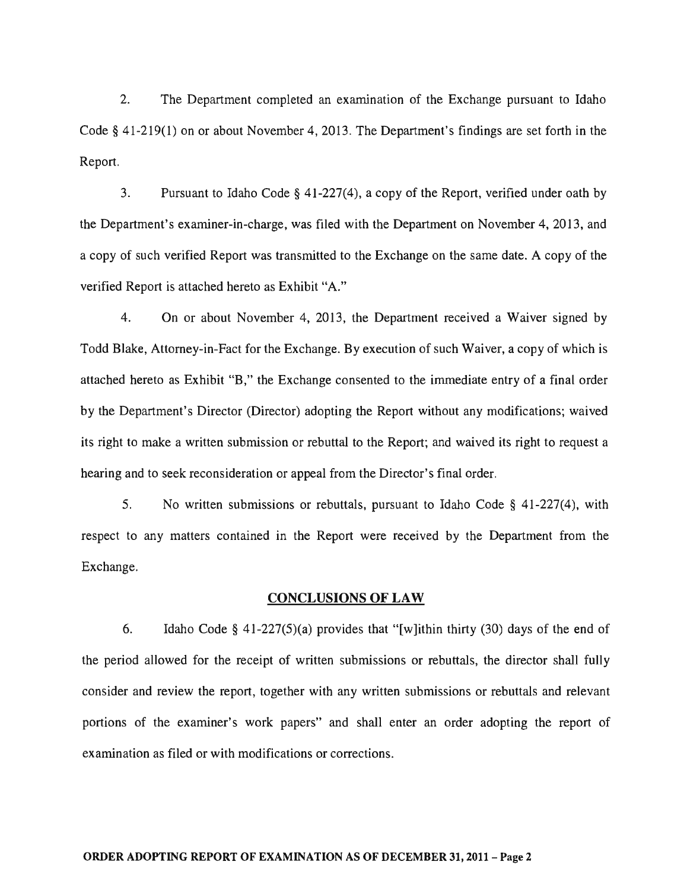2. The Department completed an examination of the Exchange pursuant to Idaho Code  $\S$  41-219(1) on or about November 4, 2013. The Department's findings are set forth in the Report.

3. Pursuant to Idaho Code § 41-227(4), a copy of the Report, verified under oath by the Department's examiner-in-charge, was filed with the Department on November 4,2013, and a copy of such verified Report was transmitted to the Exchange on the same date. A copy of the verified Report is attached hereto as Exhibit "A."

4. On or about November 4, 2013, the Department received a Waiver signed by Todd Blake, Attorney-in-Fact for the Exchange. By execution of such Waiver, a copy of which is attached hereto as Exhibit "B," the Exchange consented to the immediate entry of a final order by the Department's Director (Director) adopting the Report without any modifications; waived its right to make a written submission or rebuttal to the Report; and waived its right to request a hearing and to seek reconsideration or appeal from the Director's final order.

5. No written submissions or rebuttals, pursuant to Idaho Code § 41-227(4), with respect to any matters contained in the Report were received by the Department from the Exchange.

#### CONCLUSIONS OF LAW

6. Idaho Code § 41-227(5)(a) provides that "[w]ithin thirty (30) days of the end of the period allowed for the receipt of written submissions or rebuttals, the director shall fully consider and review the report, together with any written submissions or rebuttals and relevant portions of the examiner's work papers" and shall enter an order adopting the report of examination as filed or with modifications or corrections.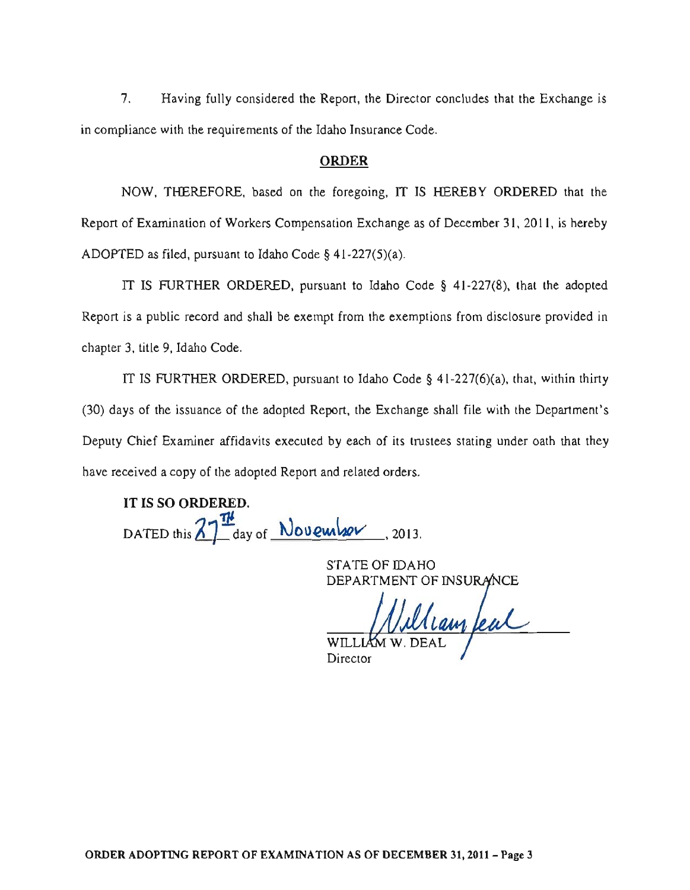7. Having fully considered the Report, the Director concludes that the Exchange is in compliance with the requirements of the Idaho Insurance Code.

#### ORDER

NOW, THEREFORE, based on the foregoing, IT IS HEREBY ORDERED that the Report of Examination of Workers Compensation Exchange as of December 31, 2011, is hereby ADOPTED as filed, pursuant to Idaho Code § 41-227(5)(a).

IT IS FURTHER ORDERED, pursuant to Idaho Code § 41-227(8), that the adopted Report is a public record and shall be exempt from the exemptions from disclosure provided in chapter 3, title 9, Idaho Code.

IT IS FURTHER ORDERED, pursuant to Idaho Code  $\S$  41-227(6)(a), that, within thirty (30) days of the issuance of the adopted Report, the Exchange shall file with the Department's Deputy Chief Examiner affidavits executed by each of its trustees stating under oath that they have received a copy of the adopted Report and related orders.

IT IS SO ORDERED. DATED this  $ZT^{\underline{\pi\mu}}$  day of November, 2013.

STATE OF IDAHO

DEPARTMENT OF INSURANCE

WILL Director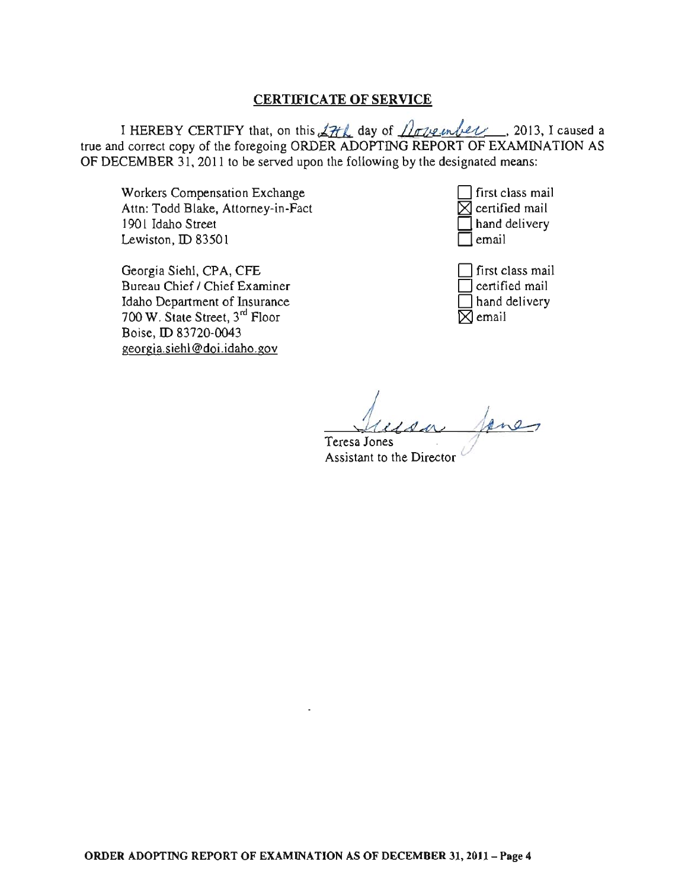# CERTIFICATE OF SERVICE

I HEREBY CERTIFY that, on this  $27th$  day of  $10th$  *lowe unber*, 2013, I caused a true and correct copy of the foregoing ORDER ADOPTING REPORT OF EXAMINATION AS OF DECEMBER 31, 2011 to be served upon the following by the designated means:

Workers Compensation Exchange Attn: Todd Blake, Attorney-in-Fact 1901 Idaho Street Lewiston, ID 83501

Georgia Siehl, CPA, CFE Bureau Chief / Chief Examiner Idaho Department of Insurance 700 W. State Street, 3rd Floor Boise, ID 83720-0043 georgia.siehl@doi.idaho. gov



first class mail certified mail I hand delivery  $\boxtimes$  email

Teresa *iu,* Jones <u>field a fone</u>,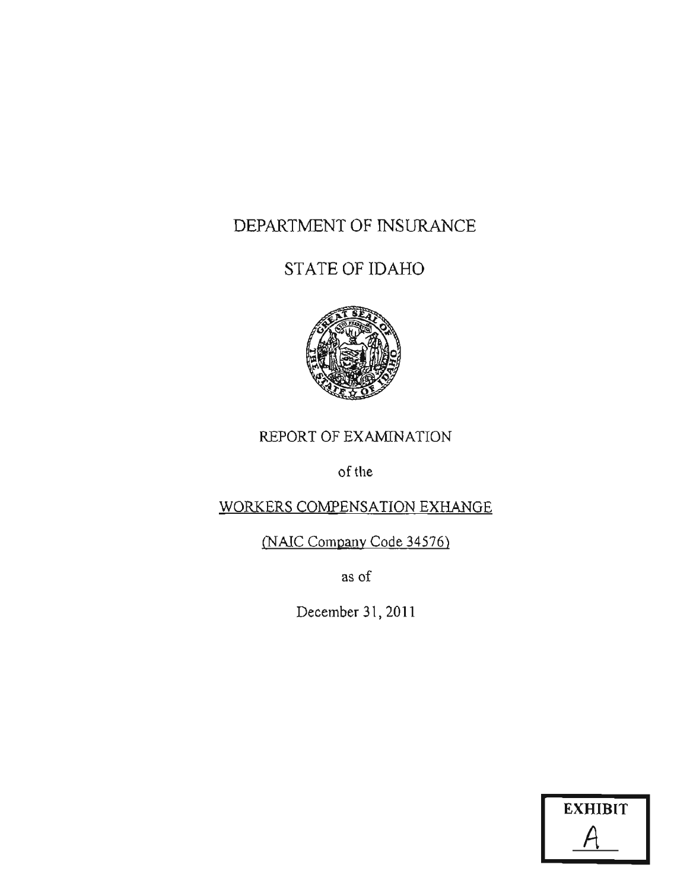# DEPARTMENT OF INSURANCE

# STATE OF IDAHO



# REPORT OF EXAMINATION

of the

# WORKERS COMPENSATION EXHANGE

(NAIC Company Code 34576)

as of

December 31, 2011

| <b>EXHIBIT</b> |  |
|----------------|--|
|                |  |
|                |  |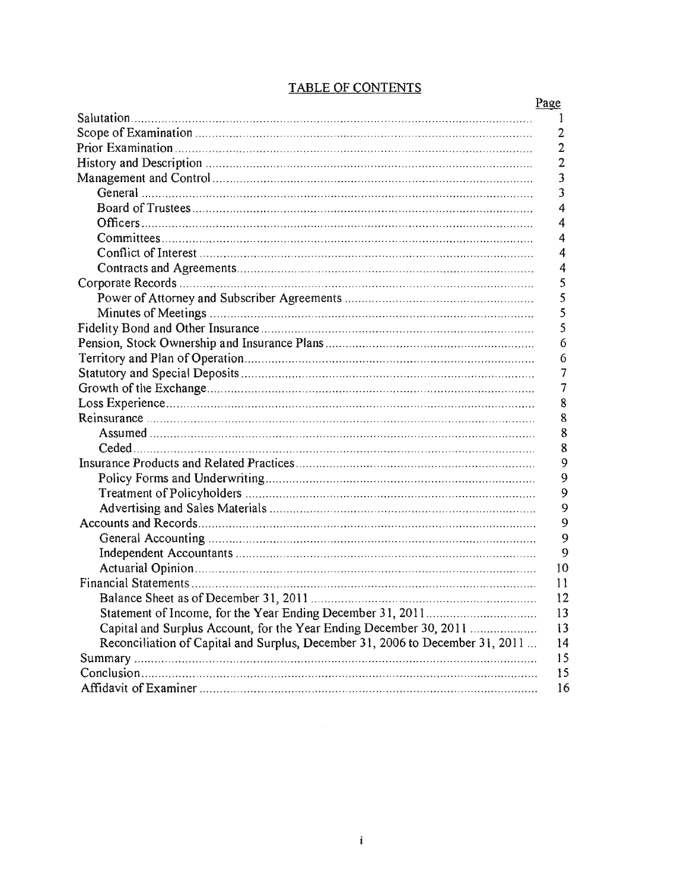|                                                                               | Page           |
|-------------------------------------------------------------------------------|----------------|
|                                                                               | 1              |
|                                                                               | $\overline{2}$ |
|                                                                               | $\overline{2}$ |
|                                                                               | $\overline{2}$ |
|                                                                               | 3              |
|                                                                               | 3              |
|                                                                               | 4              |
|                                                                               | $\overline{4}$ |
|                                                                               | 4              |
|                                                                               | 4              |
|                                                                               | 4              |
|                                                                               | 5              |
|                                                                               | 5              |
|                                                                               | 5              |
|                                                                               | 5              |
|                                                                               | 6              |
|                                                                               | 6              |
|                                                                               | $\overline{7}$ |
|                                                                               | 7              |
|                                                                               | 8              |
|                                                                               | 8              |
|                                                                               | 8              |
|                                                                               | 8              |
|                                                                               | 9              |
|                                                                               | 9              |
|                                                                               | 9              |
|                                                                               | 9              |
|                                                                               | 9              |
|                                                                               | 9              |
|                                                                               | 9              |
|                                                                               | 10             |
|                                                                               | 11             |
| Balance Sheet as of December 31, 2011                                         | 12             |
|                                                                               | 13             |
| Capital and Surplus Account, for the Year Ending December 30, 2011            | 13             |
| Reconciliation of Capital and Surplus, December 31, 2006 to December 31, 2011 | 14             |
|                                                                               | 15             |
|                                                                               | 15             |
|                                                                               | 16             |
|                                                                               |                |

# **TABLE OF CONTENTS**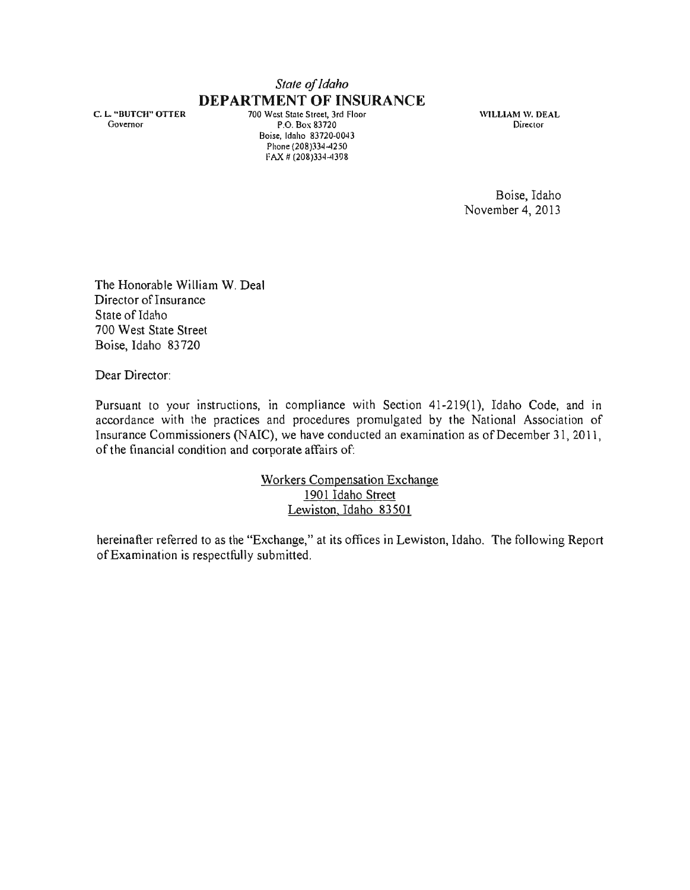# *Stale of Idaho*  **DEPARTMENT OF INSURANCE**

C. L. "BUTCH" OTTER Governor

700 West State Street, 3rd Floor P.O. Box 83720 Boise, Idaho 83720·0043 Phone (208)334-4250 FAX # (208)334-4398

WILLIAM W. DEAL **Director** 

Boise, Idaho November 4,2013

The Honorable William W. Deal Director of Insurance State of Idaho 700 West State Street Boise, Idaho 83720

Dear Director:

Pursuant to your instructions, in compliance with Section 41-219(1), Idaho Code, and in accordance with the practices and procedures promulgated by the National Association of Insurance Commissioners (NAIC), we have conducted an examination as of December 31,2011, of the financial condition and corporate affairs of:

> Workers Compensation Exchange 1901 Idaho Street Lewiston. Idaho 83501

hereinafter referred to as the "Exchange," at its offices in Lewiston, Idaho. The following Report of Examination is respectfully submitted.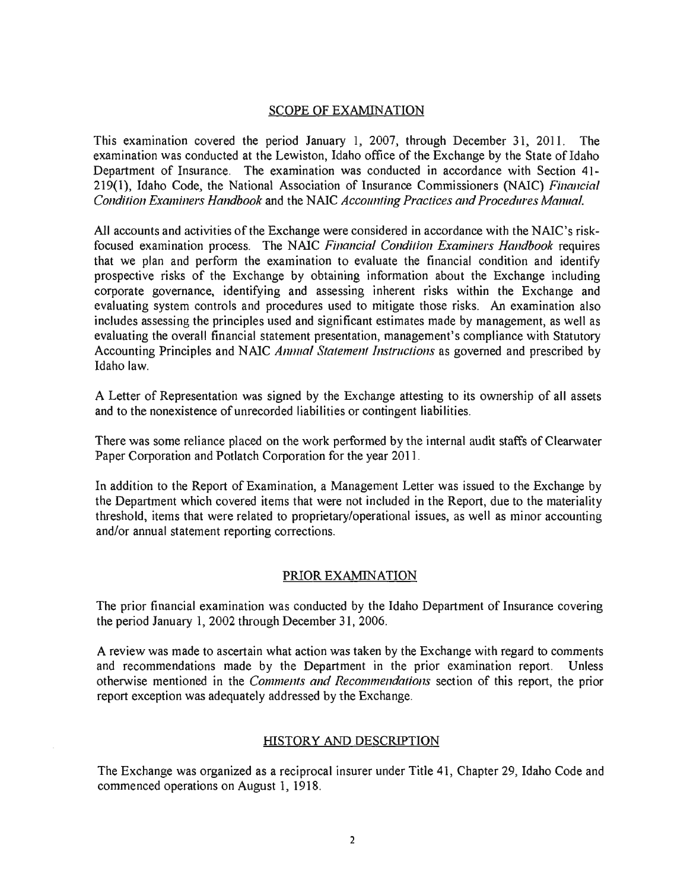### SCOPE OF EXAMINATION

This examination covered the period January 1, 2007, through December 31, 2011. The examination was conducted at the Lewiston, Idaho office of the Exchange by the State of Idaho Department of Insurance. The examination was conducted in accordance with Section 41- 219(1), Idaho Code, the National Association of Insurance Commissioners (NAIC) *Financial Condition Examiners Handbook* and the NAIC *Accounting Practices and Procedures Manual.* 

All accounts and activities of the Exchange were considered in accordance with the NAIC's riskfocused examination process. The NAIC *Financial Condition Examiners Handbook* requires that we plan and perform the examination to evaluate the financial condition and identify prospective risks of the Exchange by obtaining information about the Exchange including corporate governance, identifying and assessing inherent risks within the Exchange and evaluating system controls and procedures used to mitigate those risks. An examination also includes assessing the principles used and significant estimates made by management, as well as evaluating the overall financial statement presentation, management's compliance with Statutory Accounting Principles and NAIC *Annual Statement Instructions* as governed and prescribed by Idaho law.

A Letter of Representation was signed by the Exchange attesting to its ownership of all assets and to the nonexistence of unrecorded liabilities or contingent liabilities.

There was some reliance placed on the work performed by the internal audit staffs of Clearwater Paper Corporation and Potlatch Corporation for the year 2011.

In addition to the Report of Examination, a Management Letter was issued to the Exchange by the Department which covered items that were not included in the Report, due to the materiality threshold, items that were related to proprietary/operational issues, as well as minor accounting and/or annual statement reporting corrections.

### PRIOREXAMlNATION

The prior financial examination was conducted by the Idaho Department of Insurance covering the period January 1, 2002 through December 31,2006.

A review was made to ascertain what action was taken by the Exchange with regard to comments and recommendations made by the Department in the prior examination report. Unless otherwise mentioned in the *Comments and Recommendations* section of this report, the prior report exception was adequately addressed by the Exchange.

### HISTORY AND DESCRIPTION

The Exchange was organized as a reciprocal insurer under Title 41, Chapter 29, Idaho Code and commenced operations on August 1,1918.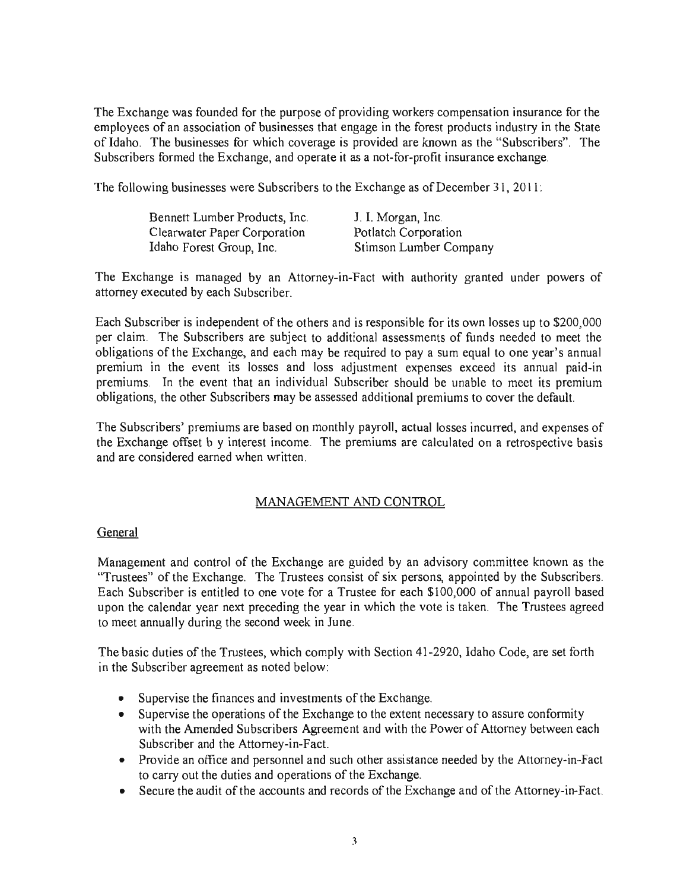The Exchange was founded for the purpose of providing workers compensation insurance for the employees of an association of businesses that engage in the forest products industry in the State of Idaho. The businesses for which coverage is provided are known as the "Subscribers". The Subscribers formed the Exchange, and operate it as a not-for-profit insurance exchange.

The following businesses were Subscribers to the Exchange as of December 31, 2011 :

| Bennett Lumber Products, Inc. | J. I. Morgan, Inc.     |
|-------------------------------|------------------------|
| Clearwater Paper Corporation  | Potlatch Corporation   |
| Idaho Forest Group, Inc.      | Stimson Lumber Company |

The Exchange is managed by an Attorney-in-Fact with authority granted under powers of attorney executed by each Subscriber.

Each Subscriber is independent of the others and is responsible for its own losses up to \$200,000 per claim. The Subscribers are subject to additional assessments of funds needed to meet the obligations of the Exchange, and each may be required to pay a sum equal to one year's annual premium in the event its losses and loss adjustment expenses exceed its annual paid-in premiums. In the event that an individual Subscriber should be unable to meet its premium obligations, the other Subscribers may be assessed additional premiums to cover the default.

The Subscribers' premiums are based on monthly payroll, actual losses incurred, and expenses of the Exchange offset b y interest income. The premiums are calculated on a retrospective basis and are considered earned when written.

# MANAGEMENT AND CONTROL

# General

Management and control of the Exchange are guided by an advisory committee known as the "Trustees" of the Exchange. The Trustees consist of six persons, appointed by the Subscribers. Each Subscriber is entitled to one vote for a Trustee for each \$100,000 of annual payroll based upon the calendar year next preceding the year in which the vote is taken. The Trustees agreed to meet annually during the second week in June.

The basic duties of the Trustees, which comply with Section 41-2920, Idaho Code, are set forth in the Subscriber agreement as noted below:

- Supervise the finances and investments of the Exchange.
- Supervise the operations of the Exchange to the extent necessary to assure conformity with the Amended Subscribers Agreement and with the Power of Attorney between each Subscriber and the Attorney-in-Fact.
- Provide an office and personnel and such other assistance needed by the Attorney-in-Fact to carry out the duties and operations of the Exchange.
- Secure the audit of the accounts and records of the Exchange and of the Attorney-in-Fact.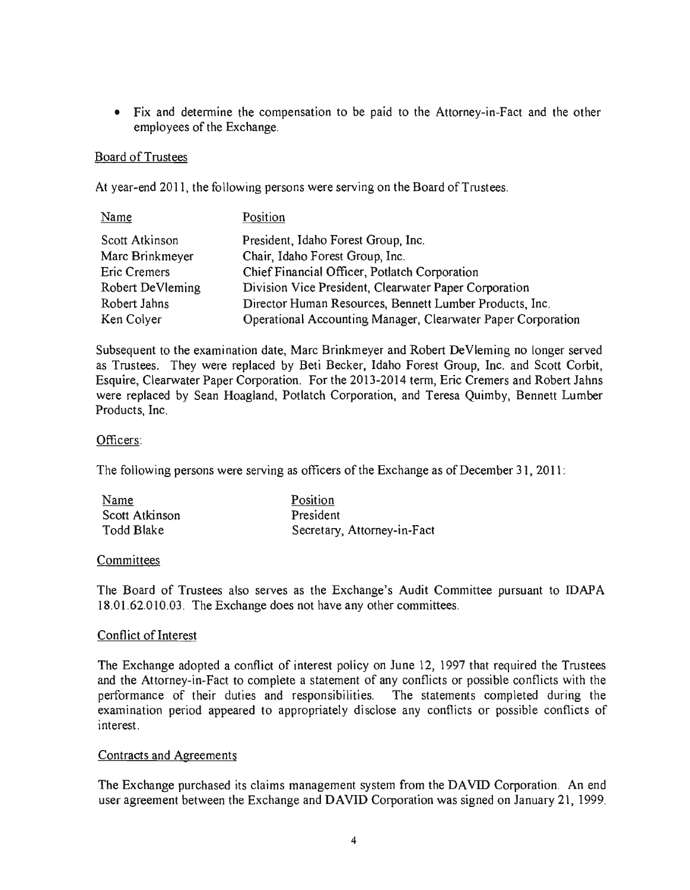• Fix and determine the compensation to be paid to the Attorney-in-Fact and the other employees of the Exchange.

# Board of Trustees

At year-end 2011, the following persons were serving on the Board of Trustees.

| Name                | Position                                                     |
|---------------------|--------------------------------------------------------------|
| Scott Atkinson      | President, Idaho Forest Group, Inc.                          |
| Marc Brinkmeyer     | Chair, Idaho Forest Group, Inc.                              |
| <b>Eric Cremers</b> | Chief Financial Officer, Potlatch Corporation                |
| Robert DeVleming    | Division Vice President, Clearwater Paper Corporation        |
| Robert Jahns        | Director Human Resources, Bennett Lumber Products, Inc.      |
| Ken Colyer          | Operational Accounting Manager, Clearwater Paper Corporation |

Subsequent to the examination date, Marc Brinkmeyer and Robert DeVleming no longer served as Trustees. They were replaced by Beti Becker, Idaho Forest Group, Inc. and Scott Corbit, Esquire, Clearwater Paper Corporation. For the 2013-2014 term, Eric Cremers and Robert Jahns were replaced by Sean Hoagland, Potlatch Corporation, and Teresa Quimby, Bennett Lumber Products, Inc.

# Officers:

The following persons were serving as officers of the Exchange as of December 31, 2011:

| Name           | Position                    |
|----------------|-----------------------------|
| Scott Atkinson | President                   |
| Todd Blake     | Secretary, Attorney-in-Fact |

### Committees

The Board of Trustees also serves as the Exchange's Audit Committee pursuant to IDAPA 18.01.62.010.03. The Exchange does not have any other committees.

### Conflict of Interest

The Exchange adopted a conflict of interest policy on June 12, 1997 that required the Trustees and the Attorney-in-Fact to complete a statement of any conflicts or possible conflicts with the performance of their duties and responsibilities. The statements completed during the examination period appeared to appropriately disclose any conflicts or possible conflicts of interest.

### Contracts and Agreements

The Exchange purchased its claims management system from the DAVID Corporation. An end user agreement between the Exchange and DAVID Corporation was signed on January 21, 1999.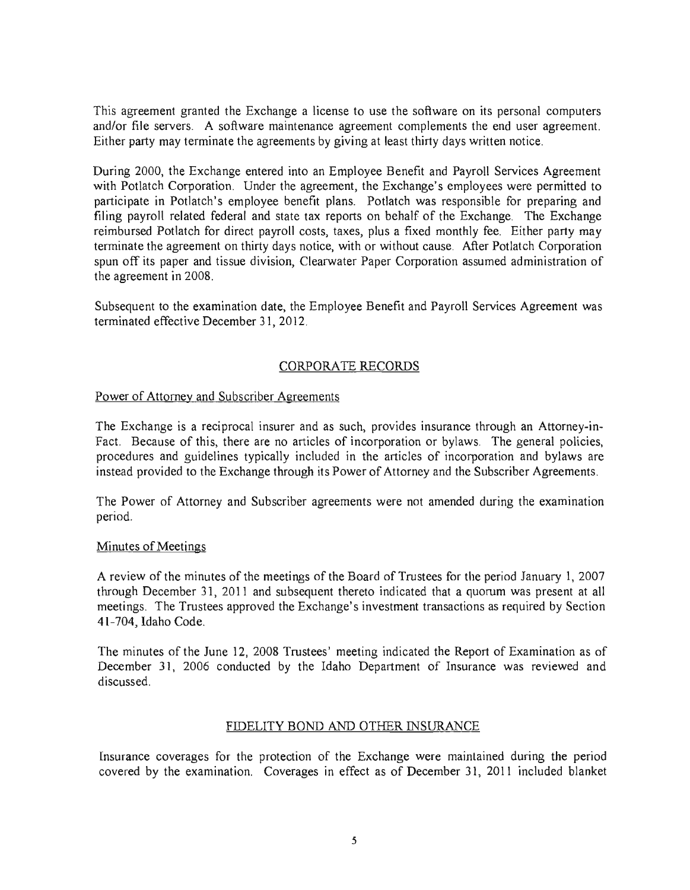This agreement granted the Exchange a license to use the software on its personal computers and/or file servers. A software maintenance agreement complements the end user agreement. Either party may terminate the agreements by giving at least thirty days written notice.

During 2000, the Exchange entered into an Employee Benefit and Payroll Services Agreement with Potlatch Corporation. Under the agreement, the Exchange's employees were permitted to participate in Potlatch's employee benefit plans. Potlatch was responsible for preparing and filing payroll related federal and state tax reports on behalf of the Exchange. The Exchange reimbursed Potlatch for direct payroll costs, taxes, plus a fixed monthly fee. Either party may terminate the agreement on thirty days notice, with or without cause. After Potlatch Corporation spun off its paper and tissue division, Clearwater Paper Corporation assumed administration of the agreement in 2008.

Subsequent to the examination date, the Employee Benefit and Payroll Services Agreement was terminated effective December 31,2012.

# CORPORATE RECORDS

### Power of Attorney and Subscriber Agreements

The Exchange is a reciprocal insurer and as such, provides insurance through an Attorney-in-Fact. Because of this, there are no articles of incorporation or bylaws. The general policies, procedures and guidelines typically included in the articles of incorporation and bylaws are instead provided to the Exchange through its Power of Attorney and the Subscriber Agreements.

The Power of Attorney and Subscriber agreements were not amended during the examination period.

### Minutes of Meetings

A review of the minutes of the meetings of the Board of Trustees for the period January 1. 2007 through December 31, 2011 and subsequent thereto indicated that a quorum was present at all meetings. The Trustees approved the Exchange's investment transactions as required by Section 41-704, Idaho Code.

The minutes of the June 12, 2008 Trustees' meeting indicated the Report of Examination as of December 31, 2006 conducted by the Idaho Department of Insurance was reviewed and discussed.

# FIDELITY BOND AND OTHER INSURANCE

Insurance coverages for the protection of the Exchange were maintained during the period covered by the examination. Coverages in effect as of December 31, 2011 included blanket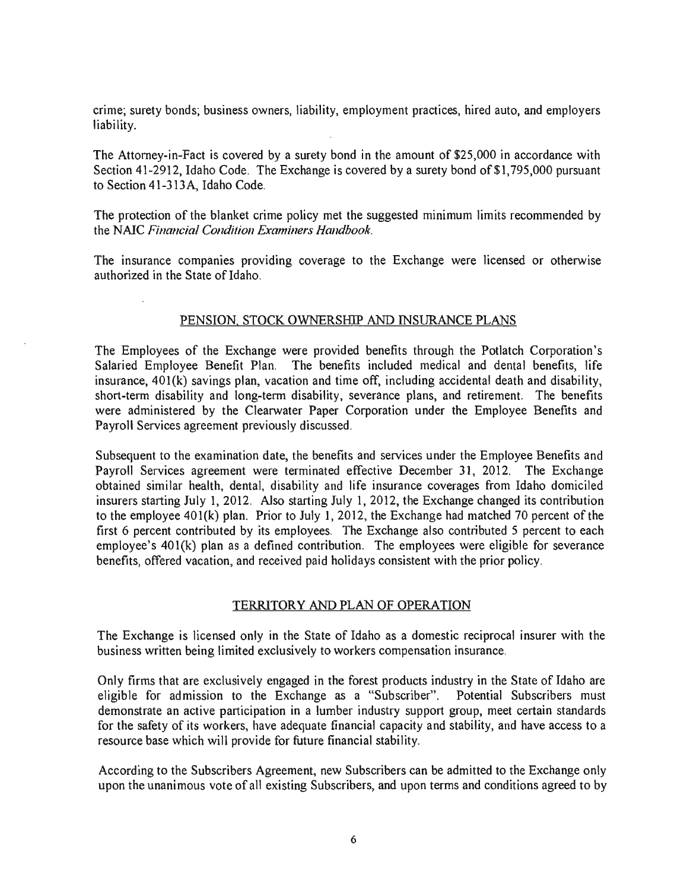crime; surety bonds; business owners, liability, employment practices, hired auto, and employers liability.

The Attorney-in-Fact is covered by a surety bond in the amount of \$25,000 in accordance with Section 41-2912, Idaho Code. The Exchange is covered by a surety bond of \$1,795,000 pursuant to Section 41-3 13 A, Idaho Code.

The protection of the blanket crime policy met the suggested minimum limits recommended by the NAIC *Financial Condition Examiners Handbook* 

The insurance companies providing coverage to the Exchange were licensed or otherwise authorized in the State of Idaho.

# PENSION, STOCK OWNERSHIP AND INSURANCE PLANS

The Employees of the Exchange were provided benefits through the Potlatch Corporation's Salaried Employee Benefit Plan. The benefits included medical and dental benefits, life insurance,  $401(k)$  savings plan, vacation and time off, including accidental death and disability, short-term disability and long-term disability, severance plans, and retirement. The benefits were administered by the Clearwater Paper Corporation under the Employee Benefits and Payroll Services agreement previously discussed.

Subsequent to the examination date, the benefits and services under the Employee Benefits and Payroll Services agreement were terminated effective December 31, 2012. The Exchange obtained similar health, dental, disability and life insurance coverages from Idaho domiciled insurers starting July 1,2012. Also starting July 1, 2012, the Exchange changed its contribution to the employee  $401(k)$  plan. Prior to July 1, 2012, the Exchange had matched 70 percent of the first 6 percent contributed by its employees. The Exchange also contributed 5 percent to each employee's 401(k) plan as a defined contribution. The employees were eligible for severance benefits, offered vacation, and received paid holidays consistent with the prior policy.

### TERRITORY AND PLAN OF OPERATION

The Exchange is licensed only in the State of Idaho as a domestic reciprocal insurer with the business written being limited exclusively to workers compensation insurance.

Only firms that are exclusively engaged in the forest products industry in the State of Idaho are eligible for admission to the Exchange as a "Subscriber". Potential Subscribers must demonstrate an active participation in a lumber industry support group, meet certain standards for the safety of its workers, have adequate financial capacity and stability, and have access to a resource base which will provide for future financial stability.

According to the Subscribers Agreement, new Subscribers can be admitted to the Exchange only upon the unanimous vote of all existing Subscribers, and upon terms and conditions agreed to by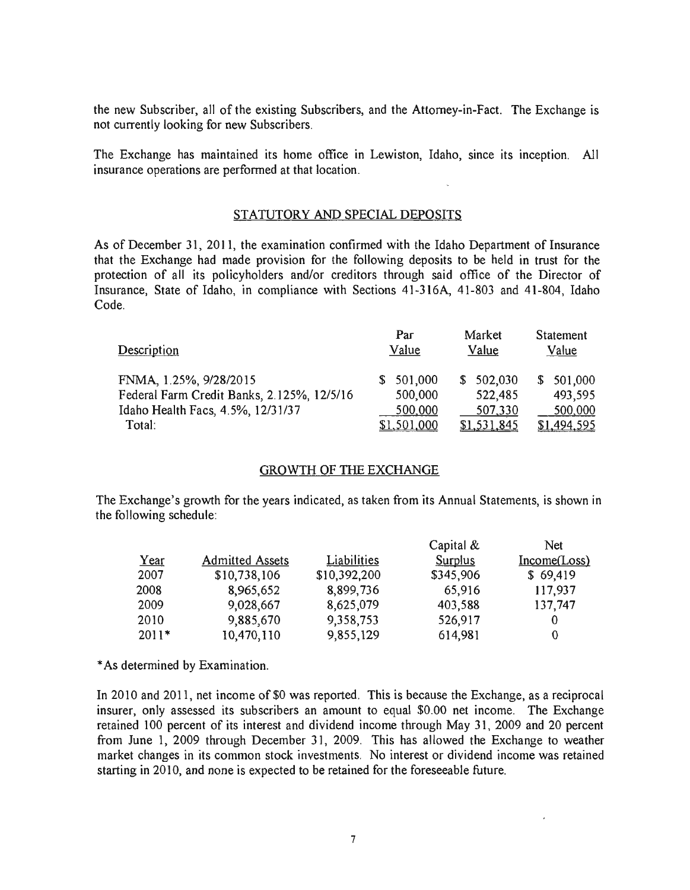the new Subscriber, all of the existing Subscribers, and the Attorney-in-Fact. The Exchange is not currently looking for new Subscribers.

The Exchange has maintained its home office in Lewiston, Idaho, since its inception. All insurance operations are performed at that location.

### STATUTORY AND SPECIAL DEPOSITS

As of December 31, 2011, the examination confirmed with the Idaho Department of Insurance that the Exchange had made provision for the following deposits to be held in trust for the protection of all its policyholders and/or creditors through said office of the Director of Insurance, State of Idaho, in compliance with Sections 41-316A, 41-803 and 41-804, Idaho Code.

| Description                                | Par<br>Value       | Market<br>Value | Statement<br>Value |
|--------------------------------------------|--------------------|-----------------|--------------------|
| FNMA, 1.25%, 9/28/2015                     | \$501,000          | \$502,030       | \$501,000          |
| Federal Farm Credit Banks, 2.125%, 12/5/16 | 500,000            | 522,485         | 493,595            |
| Idaho Health Facs, 4.5%, 12/31/37          | 500,000            | 507,330         | 500,000            |
| Total:                                     | <u>\$1,501,000</u> | \$1,531,845     | \$1,494,595        |

# GROWTH OF THE EXCHANGE

The Exchange's growth for the years indicated, as taken from its Annual Statements, is shown in the following schedule:

|                        |              | Capital &      | <b>Net</b>   |
|------------------------|--------------|----------------|--------------|
| <b>Admitted Assets</b> | Liabilities  | <b>Surplus</b> | Income(Loss) |
| \$10,738,106           | \$10,392,200 | \$345,906      | \$69,419     |
| 8,965,652              | 8,899,736    | 65,916         | 117,937      |
| 9,028,667              | 8,625,079    | 403,588        | 137,747      |
| 9,885,670              | 9,358,753    | 526,917        |              |
| 10,470,110             | 9,855,129    | 614,981        | 0            |
|                        |              |                |              |

\* As determined by Examination.

In 2010 and 2011, net income of \$0 was reported. This is because the Exchange, as a reciprocal insurer, only assessed its subscribers an amount to equal \$0.00 net income. The Exchange retained 100 percent of its interest and dividend income through May 31, 2009 and 20 percent from June 1, 2009 through December 31, 2009. This has allowed the Exchange to weather market changes in its common stock investments. No interest or dividend income was retained starting in 2010, and none is expected to be retained for the foreseeable future.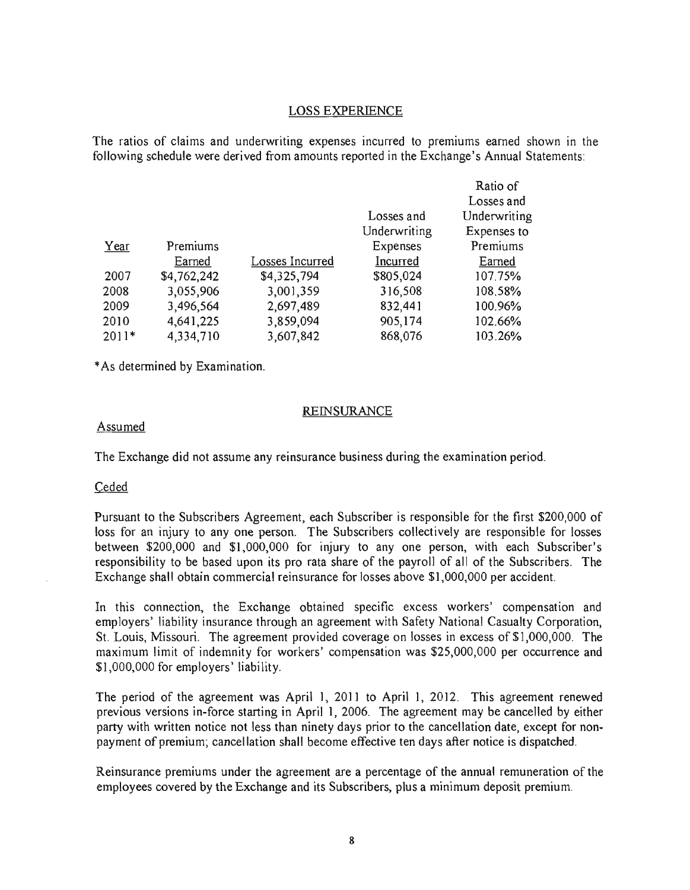#### LOSS EXPERIENCE

The ratios of claims and underwriting expenses incurred to premiums earned shown in the following schedule were derived from amounts reported in the Exchange's Annual Statements:

|         |             |                 |              | Ratio of     |
|---------|-------------|-----------------|--------------|--------------|
|         |             |                 |              | Losses and   |
|         |             |                 | Losses and   | Underwriting |
|         |             |                 | Underwriting | Expenses to  |
| Year    | Premiums    |                 | Expenses     | Premiums     |
|         | Earned      | Losses Incurred | Incurred     | Earned       |
| 2007    | \$4,762,242 | \$4,325,794     | \$805,024    | 107.75%      |
| 2008    | 3,055,906   | 3,001,359       | 316,508      | 108,58%      |
| 2009    | 3,496,564   | 2,697,489       | 832,441      | 100.96%      |
| 2010    | 4,641,225   | 3,859,094       | 905,174      | 102.66%      |
| $2011*$ | 4,334,710   | 3,607,842       | 868,076      | 103.26%      |

\* As determined by Examination.

#### **REINSURANCE**

#### Assumed

The Exchange did not assume any reinsurance business during the examination period.

#### Ceded

Pursuant to the Subscribers Agreement, each Subscriber is responsible for the first \$200,000 of loss for an injury to any one person. The Subscribers collectively are responsible for losses between \$200,000 and \$1,000,000 for injury to anyone person, with each Subscriber's responsibility to be based upon its pro rata share of the payroll of all of the Subscribers. The Exchange shall obtain commercial reinsurance for losses above \$1,000,000 per accident.

In this connection, the Exchange obtained specific excess workers' compensation and employers' liability insurance through an agreement with Safety National Casualty Corporation, St. Louis, Missouri. The agreement provided coverage on losses in excess of \$1,000,000. The maximum limit of indemnity for workers' compensation was \$25,000,000 per occurrence and \$1,000,000 for employers' liability.

The period of the agreement was April 1, 2011 to April 1, 2012. This agreement renewed previous versions in-force starting in April 1, 2006. The agreement may be cancelled by either party with written notice not less than ninety days prior to the cancellation date, except for nonpayment of premium; cancellation shall become effective ten days after notice is dispatched.

Reinsurance premiums under the agreement are a percentage of the annual remuneration of the employees covered by the Exchange and its Subscribers, plus a minimum deposit premium.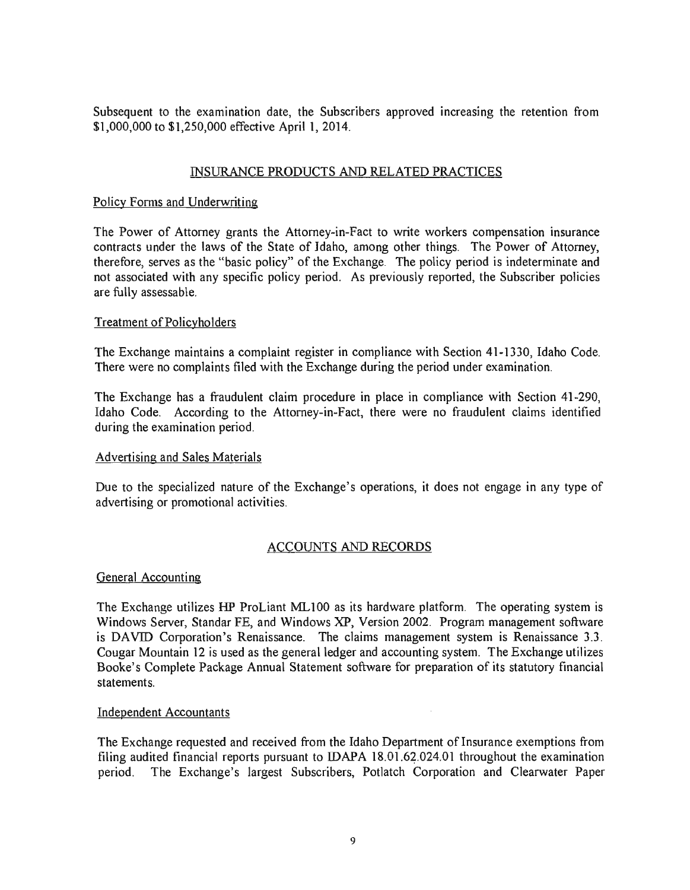Subsequent to the examination date, the Subscribers approved increasing the retention from \$1,000,000 to \$1,250,000 effective April 1,2014.

# INSURANCE PRODUCTS AND RELATED PRACTICES

# Policy Forms and Underwriting

The Power of Attorney grants the Attorney-in-Fact to write workers compensation insurance contracts under the laws of the State of Idaho, among other things. The Power of Attorney, therefore, serves as the "basic policy" of the Exchange. The policy period is indeterminate and not associated with any specific policy period. As previously reported, the Subscriber policies are fully assessable.

# Treatment of Policyholders

The Exchange maintains a complaint register in compliance with Section 41-1330, Idaho Code. There were no complaints filed with the Exchange during the period under examination.

The Exchange has a fraudulent claim procedure in place in compliance with Section 41-290, Idaho Code. According to the Attorney-in-Fact, there were no fraudulent claims identified during the examination period.

### Advertising and Sales Materials

Due to the specialized nature of the Exchange's operations, it does not engage in any type of advertising or promotional activities.

# ACCOUNTS AND RECORDS

### General Accounting

The Exchange utilizes HP ProLiant MLI00 as its hardware platform. The operating system is Windows Server, Standar FE, and Windows XP, Version 2002. Program management software is DAVID Corporation's Renaissance. The claims management system is Renaissance 3.3. Cougar Mountain 12 is used as the general ledger and accounting system. The Exchange utilizes Booke's Complete Package Annual Statement software for preparation of its statutory financial statements.

### Independent Accountants

The Exchange requested and received from the Idaho Department of Insurance exemptions from filing audited financial reports pursuant to IDAPA  $18.01.62.024.01$  throughout the examination period. The Exchange's largest Subscribers, Potlatch Corporation and Clearwater Paper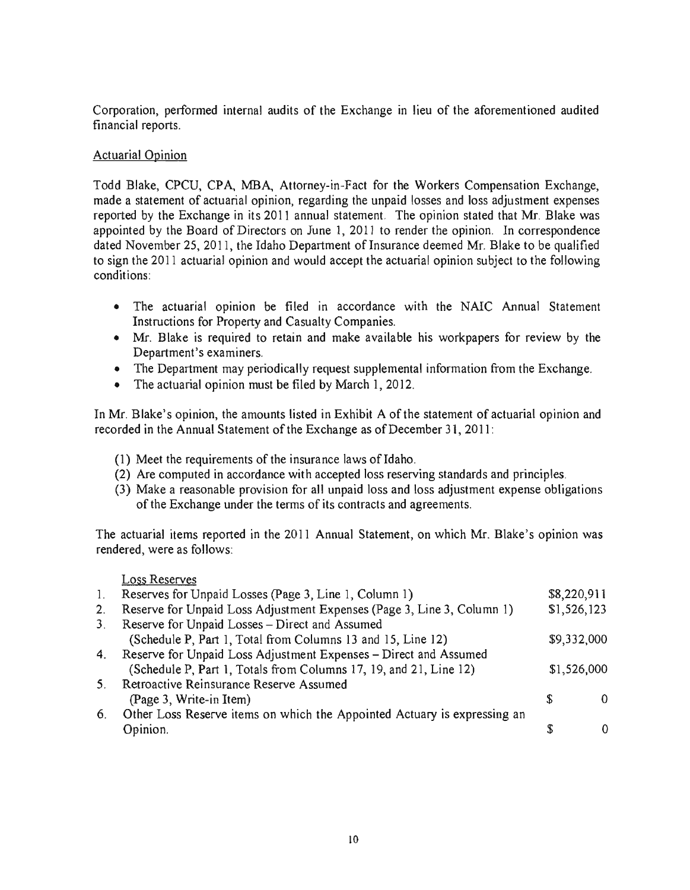Corporation, performed internal audits of the Exchange in lieu of the aforementioned audited financial reports.

# Actuarial Opinion

Todd Blake, CPCU, CPA, MBA, Attorney-in-Fact for the Workers Compensation Exchange, made a statement of actuarial opinion, regarding the unpaid losses and loss adjustment expenses reported by the Exchange in its 2011 annual statement. The opinion stated that Mr. Blake was appointed by the Board of Directors on June 1, 2011 to render the opinion. In correspondence dated November 25, 2011, the Idaho Department of Insurance deemed Mr. Blake to be qualified to sign the 2011 actuarial opinion and would accept the actuarial opinion subject to the following conditions:

- The actuarial opinion be filed in accordance with the NAIC Annual Statement Instructions for Property and Casualty Companies.
- Mr. Blake is required to retain and make available his workpapers for review by the Department's examiners.
- The Department may periodically request supplemental information from the Exchange.
- The actuarial opinion must be filed by March 1, 2012.

In Mr. Blake's opinion, the amounts listed in Exhibit A of the statement of actuarial opinion and recorded in the Annual Statement of the Exchange as of December 31,2011:

- (1) Meet the requirements of the insurance laws of Idaho.
- (2) Are computed in accordance with accepted loss reserving standards and principles.
- (3) Make a reasonable provision for all unpaid loss and loss adjustment expense obligations of the Exchange under the terms of its contracts and agreements.

The actuarial items reported in the 2011 Annual Statement, on which Mr. Blake's opinion was rendered, were as follows:

# Loss Reserves

| 1.             | Reserves for Unpaid Losses (Page 3, Line 1, Column 1)                    | \$8,220,911 |  |
|----------------|--------------------------------------------------------------------------|-------------|--|
| 2.             | Reserve for Unpaid Loss Adjustment Expenses (Page 3, Line 3, Column 1)   | \$1,526,123 |  |
| 3 <sub>1</sub> | Reserve for Unpaid Losses - Direct and Assumed                           |             |  |
|                | (Schedule P, Part 1, Total from Columns 13 and 15, Line 12)              | \$9,332,000 |  |
|                | 4. Reserve for Unpaid Loss Adjustment Expenses - Direct and Assumed      |             |  |
|                | (Schedule P, Part 1, Totals from Columns 17, 19, and 21, Line 12)        | \$1,526,000 |  |
| $5_{-}$        | Retroactive Reinsurance Reserve Assumed                                  |             |  |
|                | (Page 3, Write-in Item)                                                  |             |  |
| 6.             | Other Loss Reserve items on which the Appointed Actuary is expressing an |             |  |
|                | Opinion.                                                                 |             |  |
|                |                                                                          |             |  |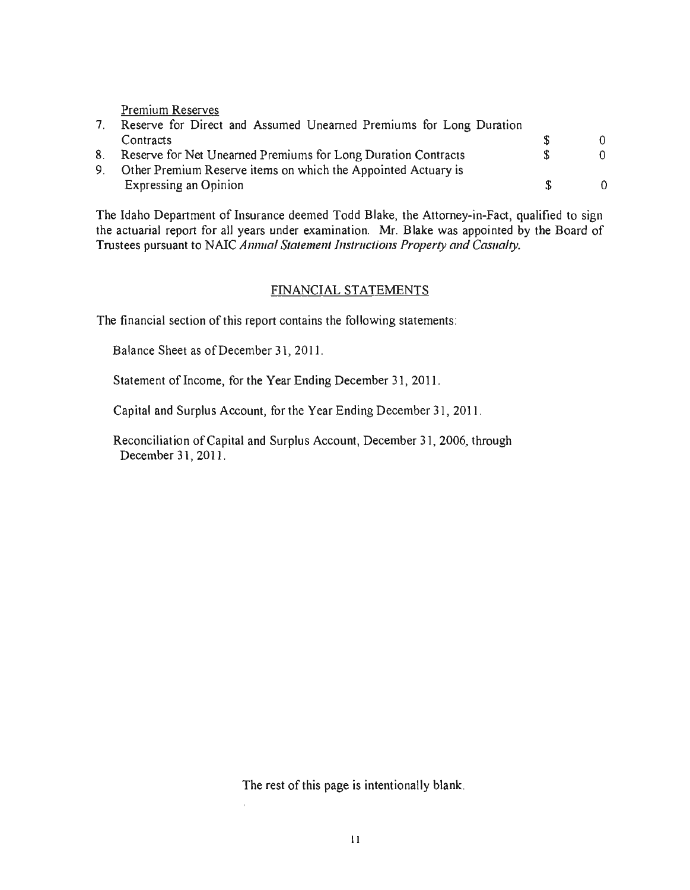Premium Reserves

| Reserve for Direct and Assumed Unearned Premiums for Long Duration |               |  |
|--------------------------------------------------------------------|---------------|--|
| Contracts                                                          |               |  |
| 8. Reserve for Net Unearned Premiums for Long Duration Contracts   | $\mathcal{S}$ |  |
| 9. Other Premium Reserve items on which the Appointed Actuary is   |               |  |
| Expressing an Opinion                                              | Æ.            |  |

The Idaho Department of Insurance deemed Todd Blake, the Attorney-in-Fact, qualified to sign the actuarial report for all years under examination. Mr. Blake was appointed by the Board of Trustees pursuant to NAIC *Annual Statement Instructions Property and Casualty.* 

# FINANCIAL STATEMENTS

The financial section of this report contains the following statements:

Balance Sheet as of December 31,2011.

Statement of Income, for the Year Ending December 31, 2011.

Capital and Surplus Account, for the Year Ending December 31,2011.

Reconciliation of Capital and Surplus Account, December 31,2006, through December 31, 2011.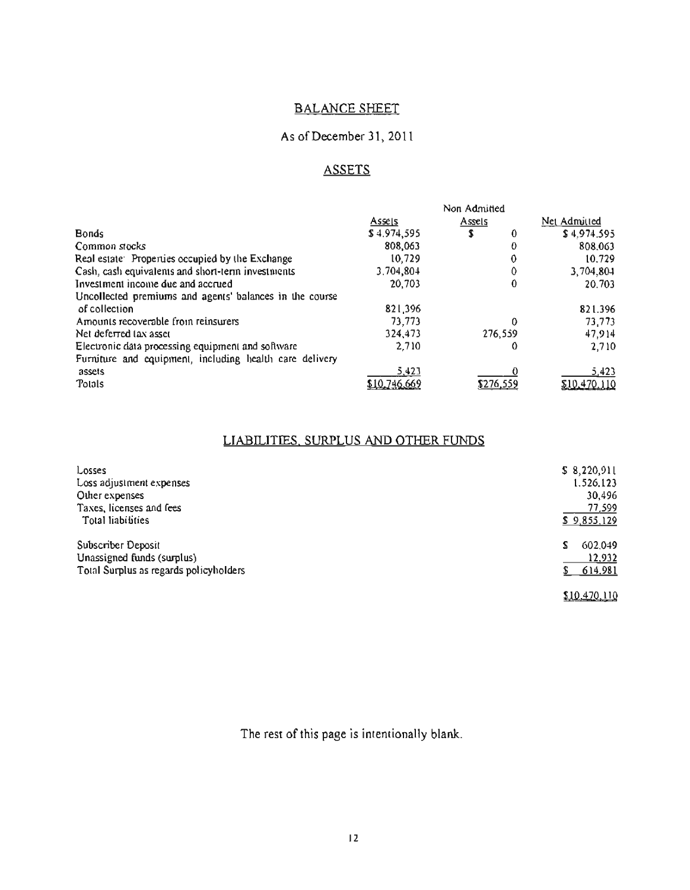# BALANCE SHEET

# As of December 31,2011

# **ASSETS**

|                                                         |             | Non Admitted |   |              |
|---------------------------------------------------------|-------------|--------------|---|--------------|
|                                                         | Assels      | Assels       |   | Net Admitted |
| <b>Bonds</b>                                            | \$4.974,595 | S            | 0 | \$4.974.595  |
| Common stocks                                           | 808.063     |              | 0 | 808,063      |
| Real estate: Properties occupied by the Exchange        | 10.729      |              | 0 | 10.729       |
| Cash, cash equivalents and short-term investments       | 3.704,804   |              | 0 | 3,704,804    |
| Investment income due and accrued                       | 20,703      |              | 0 | 20.703       |
| Uncollected premiums and agents' balances in the course |             |              |   |              |
| of collection                                           | 821.396     |              |   | 821.396      |
| Amounts recoverable from reinsurers                     | 73,773      |              | 0 | 73,773       |
| Net deferred (ax asset                                  | 324,473     | 276,559      |   | 47,914       |
| Electronic data processing equipment and software       | 2.710       |              | O | 2.710        |
| Furniture and equipment, including health care delivery |             |              |   |              |
| assets                                                  | 5,423       |              |   | 5,423        |
| <b>Tolals</b>                                           |             | \$276,559    |   | \$10,470,110 |

# LIABILITIES. SURPLUS AND OTHER FUNDS

| Losses                                 | \$8,220,911  |
|----------------------------------------|--------------|
| Loss adjustment expenses               | 1.526.123    |
| Other expenses                         | 30,496       |
| Taxes, licenses and fees               | 77,599       |
| Total liabilities                      | \$9,855,129  |
| Subscriber Deposit                     | 602.049      |
| Unassigned funds (surplus)             | 12,932       |
| Total Surplus as regards policyholders | \$614.981    |
|                                        | \$10,470,110 |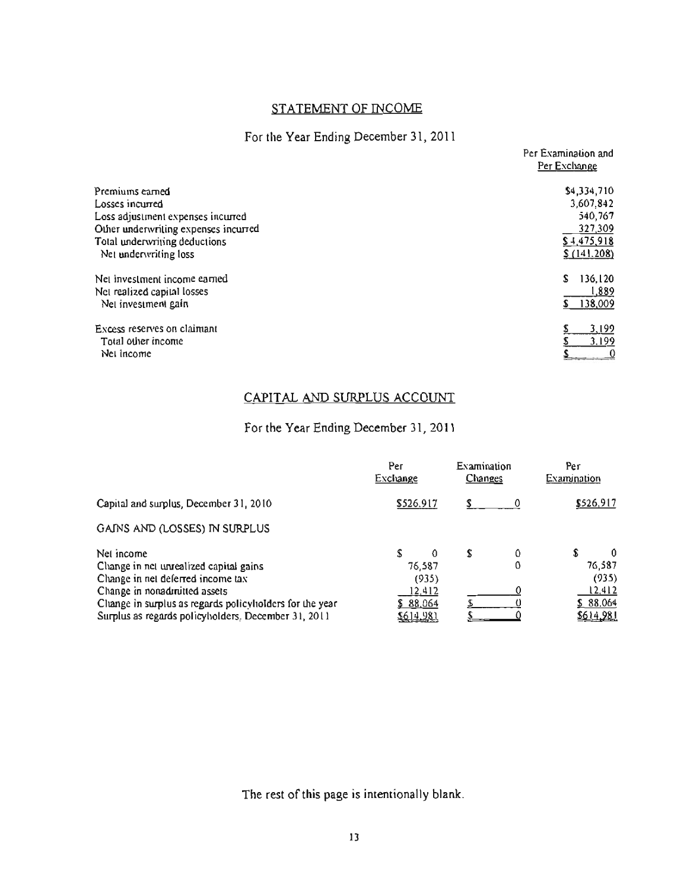# STATEMENT OF INCOME

# For the Year Ending December 31,2011

|                                                        | Per Examination and<br>Per Exchange |
|--------------------------------------------------------|-------------------------------------|
| Premiums earned                                        | \$4,334,710                         |
| Losses incurred                                        | 3,607,842                           |
| Loss adjustment expenses incurred                      | 540,767                             |
| Other underwriting expenses incurred                   | 327,309                             |
| Total underwriting deductions<br>Net underwriting loss | \$4,475,918<br>\$(141.208)          |
| Net investment income earned                           | 136.120<br>S                        |
| Net realized capital losses                            | 1,889                               |
| Net investment gain                                    | 138,009                             |
| Excess reserves on claimant                            | 3,199                               |
| Total other income                                     | 3.199                               |
| Net income                                             |                                     |

# CAPITAL AND SURPLUS ACCOUNT

# For the Year Ending December 31, 2011

|                                                         | Рег<br>Exchange |          | Examination<br>Changes |   | Per<br>Examination |           |  |
|---------------------------------------------------------|-----------------|----------|------------------------|---|--------------------|-----------|--|
| Capital and surplus, December 31, 2010                  | \$526.917       |          |                        |   |                    | \$526,917 |  |
| GAINS AND (LOSSES) IN SURPLUS                           |                 |          |                        |   |                    |           |  |
| Net income                                              |                 | $\Omega$ | S                      | 0 | S                  | $\bf{0}$  |  |
| Change in net unrealized capital gains                  |                 | 76,587   |                        | 0 |                    | 76,587    |  |
| Change in net deferred income tax                       | (935)           |          |                        |   |                    | (935)     |  |
| Change in nonadmitted assets                            | 12.412          |          |                        |   |                    | 12,412    |  |
| Change in surplus as regards policyholders for the year | \$88,064        |          |                        |   |                    | \$88.064  |  |
| Surplus as regards policyholders. December 31, 2011     | 5614.981        |          |                        |   |                    | 5614981   |  |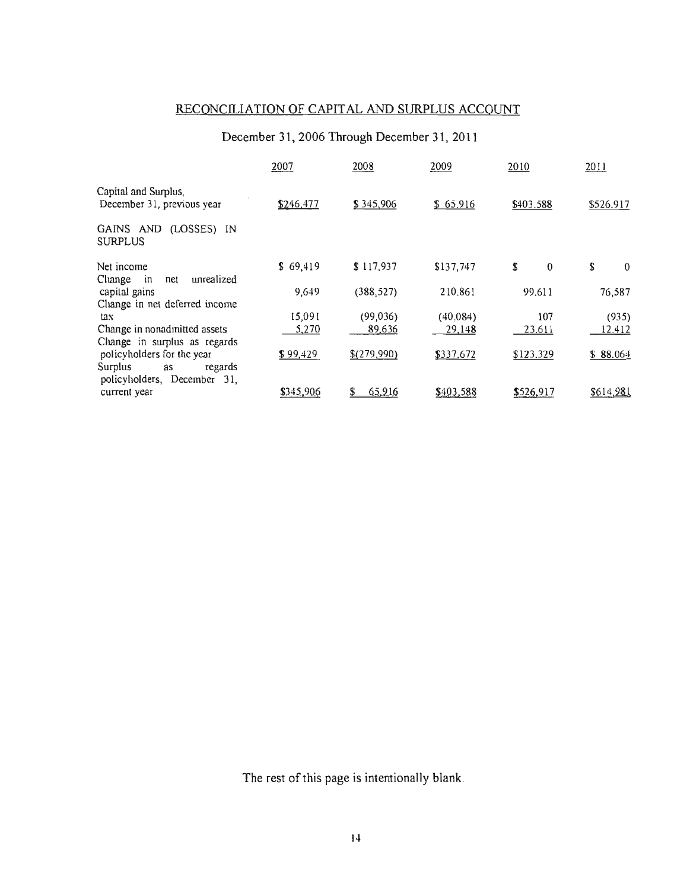# RECONCILIATION OF CAPITAL AND SURPLUS ACCOUNT

# December 31, 2006 Through December 31, 2011

|                                                                                       | 2007      | 2008        | 2009      | 2010           | 2011           |
|---------------------------------------------------------------------------------------|-----------|-------------|-----------|----------------|----------------|
| Capital and Surplus,<br>December 31, previous year                                    | \$246,477 | \$345,906   | \$65.916  | \$403.588      | \$526,917      |
| GAINS AND (LOSSES) IN<br><b>SURPLUS</b>                                               |           |             |           |                |                |
| Net income<br>Change<br>unrealized<br>net<br>ın                                       | \$69,419  | \$117,937   | \$137,747 | \$<br>$\bf{0}$ | \$<br>$\bf{0}$ |
| capital gains<br>Change in net deferred income                                        | 9,649     | (388, 527)  | 210,861   | 99.611         | 76,587         |
| tax                                                                                   | 15,091    | (99,036)    | (40.084)  | 107            | (935)          |
| Change in nonadmitted assets<br>Change in surplus as regards                          | 5,270     | 89,636      | 29,148    | 23.611         | 12.412         |
| policyholders for the year<br>Surplus<br>regards<br>as<br>policyholders, December 31, | \$99,429  | \$(279,990) | \$337,672 | \$123.329      | \$88.064       |
| current year                                                                          | \$345,906 | 65,916      | \$403,588 | \$526,917      | \$614,981      |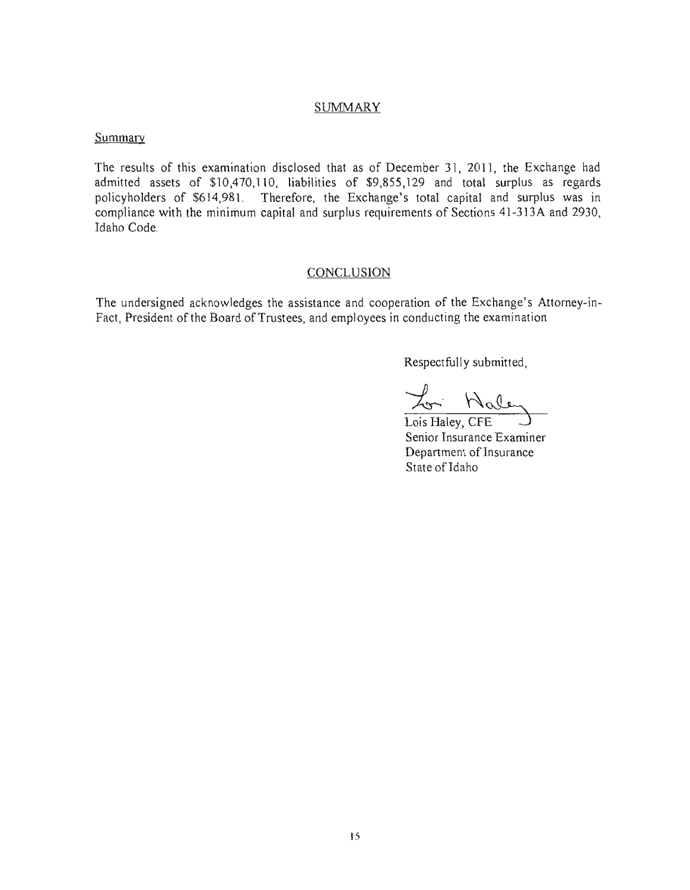### **SUMMARY**

#### Summary

The results of this examination disclosed that as of December 31, 2011, the Exchange had admitted assets of \$10,470,110, liabilities of \$9,855,129 and total surplus as regards policyholders of \$614,981. Therefore, the Exchange's total capital and surplus was in compliance with the minimum capital and surplus requirements of Sections 41-313A and 2930, Idaho Code.

# CONCLUSION

The undersigned acknowledges the assistance and cooperation of the Exchange's Attorney-in-Fact, President of the Board of Trustees, and employees in conducting the examination

Respectfully submitted,

 $\frac{\chi_{\rm on} \; \mathcal{N}_{\rm o}(\mathcal{L})}{\chi_{\rm obs\,Haley,\, CFE}}$ 

Lois Haley, CFE Senior Insurance Examiner Department of Insurance State of Idaho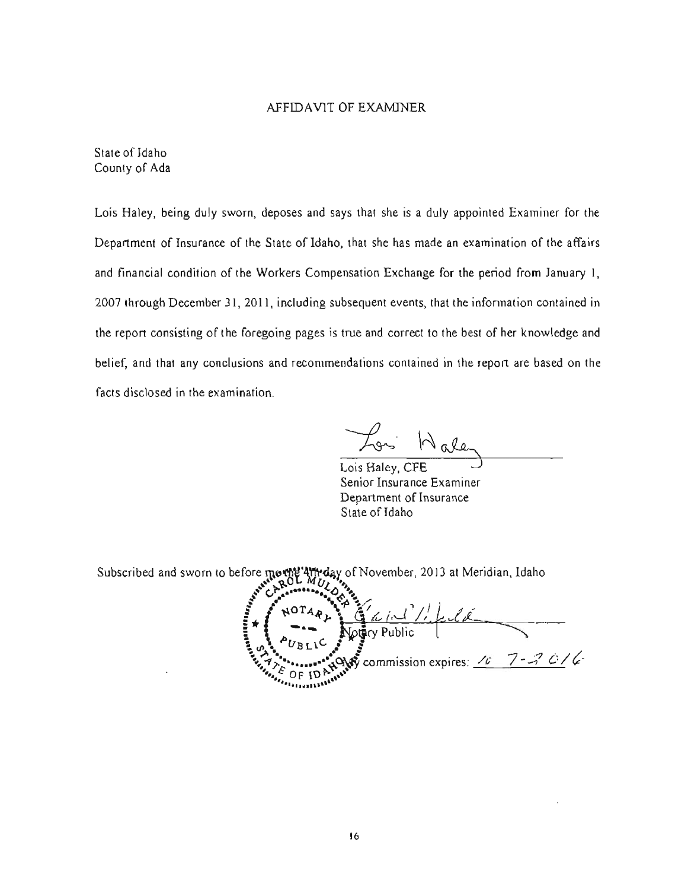#### AFFIDAVIT OF EXAMINER

State of Idaho County of Ada

Lois Haley, being duly sworn, deposes and says that she is a duly appointed Examiner for the Department of Insurance of the State of Idaho. that she has made an examination of the affairs and financial condition of the Workers Compensation Exchange for the period from January I, 2007 through December 31,2011, including subsequent events, that the information contained in the report consisting of the foregoing pages is true and correct to the best of her knowledge and belief, and that any conclusions and recommendations contained in the report are based on the facts disclosed in the examination.

Hale

Lois Haley, CFE Senior Insurance Examiner Department of Insurance State of Idaho

Subscribed and sworn to before mothe 4th day of November, 2013 at Meridian, Idaho

**E**  $\frac{1}{2}$  **P**  $\frac{1}{2}$  *MUL*  $\frac{1}{2}$  *k* **I**<br>I<sub>I</sub> I NOTAR A DE E / 1. J//f L / K  $\int$  commission expires: <u> $\ell$   $\int$   $\ell$   $\rightarrow$   $\ell$   $\ell$ </u> **...... ,** ~ 0 F **IU** ~ **"" .... ·'4', ......... 1.'"**